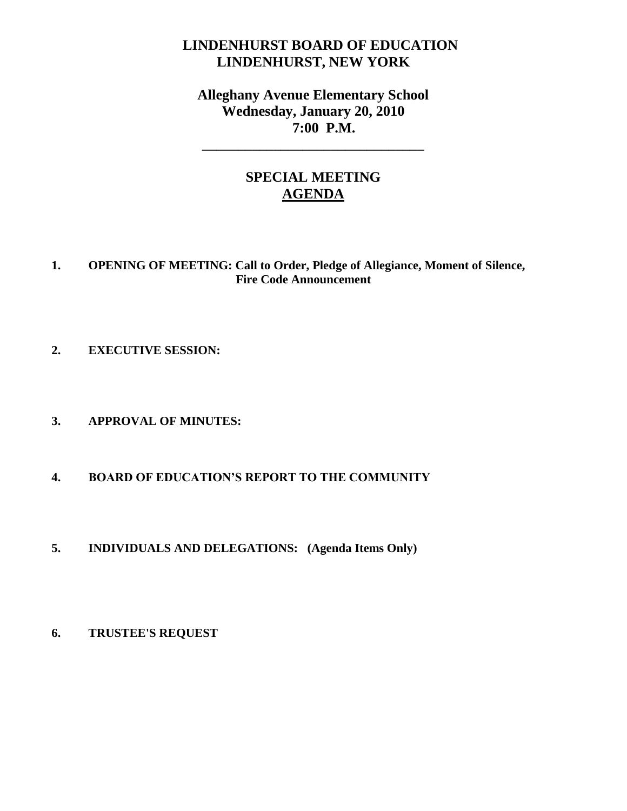# **LINDENHURST BOARD OF EDUCATION LINDENHURST, NEW YORK**

# **Alleghany Avenue Elementary School Wednesday, January 20, 2010 7:00 P.M.**

**\_\_\_\_\_\_\_\_\_\_\_\_\_\_\_\_\_\_\_\_\_\_\_\_\_\_\_\_\_\_\_**

# **SPECIAL MEETING AGENDA**

### **1. OPENING OF MEETING: Call to Order, Pledge of Allegiance, Moment of Silence, Fire Code Announcement**

- **2. EXECUTIVE SESSION:**
- **3. APPROVAL OF MINUTES:**
- **4. BOARD OF EDUCATION'S REPORT TO THE COMMUNITY**
- **5. INDIVIDUALS AND DELEGATIONS: (Agenda Items Only)**
- **6. TRUSTEE'S REQUEST**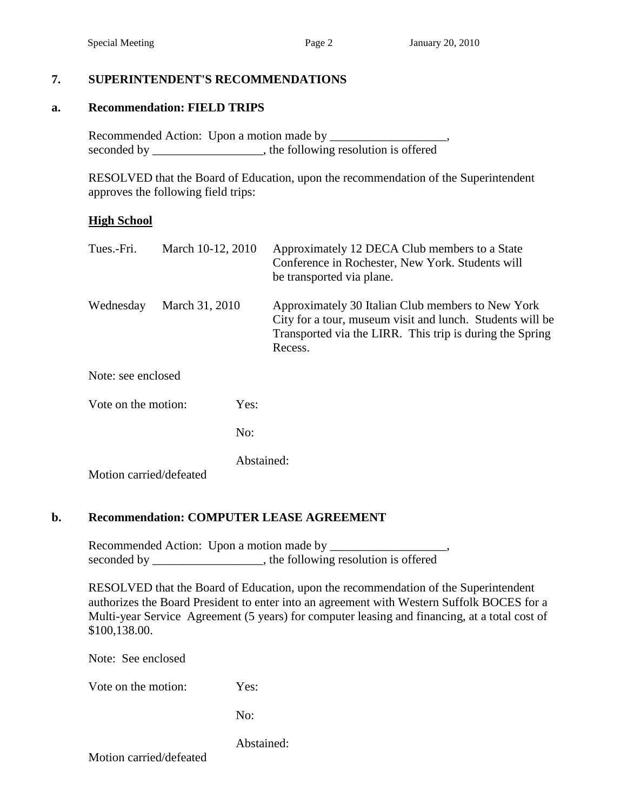#### **7. SUPERINTENDENT'S RECOMMENDATIONS**

#### **a. Recommendation: FIELD TRIPS**

Recommended Action: Upon a motion made by \_\_\_\_\_\_\_\_\_\_\_\_\_\_\_\_\_\_\_, seconded by \_\_\_\_\_\_\_\_\_\_\_\_\_\_\_\_, the following resolution is offered

RESOLVED that the Board of Education, upon the recommendation of the Superintendent approves the following field trips:

#### **High School**

| Tues.-Fri.              | March 10-12, 2010 |            | Approximately 12 DECA Club members to a State<br>Conference in Rochester, New York. Students will<br>be transported via plane.                                                        |
|-------------------------|-------------------|------------|---------------------------------------------------------------------------------------------------------------------------------------------------------------------------------------|
| Wednesday               | March 31, 2010    |            | Approximately 30 Italian Club members to New York<br>City for a tour, museum visit and lunch. Students will be<br>Transported via the LIRR. This trip is during the Spring<br>Recess. |
| Note: see enclosed      |                   |            |                                                                                                                                                                                       |
| Vote on the motion:     |                   | Yes:       |                                                                                                                                                                                       |
|                         |                   | No:        |                                                                                                                                                                                       |
| Motion carried/defeated |                   | Abstained: |                                                                                                                                                                                       |

#### **b. Recommendation: COMPUTER LEASE AGREEMENT**

Recommended Action: Upon a motion made by \_\_\_\_\_\_\_\_\_\_\_\_\_\_\_\_\_\_\_, seconded by \_\_\_\_\_\_\_\_\_\_\_\_\_\_, the following resolution is offered

RESOLVED that the Board of Education, upon the recommendation of the Superintendent authorizes the Board President to enter into an agreement with Western Suffolk BOCES for a Multi-year Service Agreement (5 years) for computer leasing and financing, at a total cost of \$100,138.00.

Note: See enclosed

Vote on the motion: Yes:

No:

Abstained:

Motion carried/defeated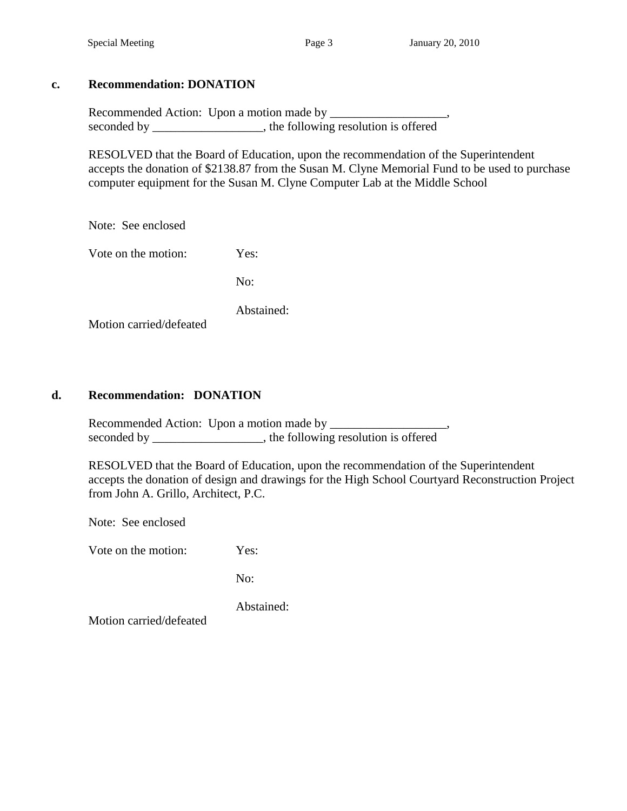## **c. Recommendation: DONATION**

Recommended Action: Upon a motion made by seconded by \_\_\_\_\_\_\_\_\_\_\_\_\_\_\_, the following resolution is offered

RESOLVED that the Board of Education, upon the recommendation of the Superintendent accepts the donation of \$2138.87 from the Susan M. Clyne Memorial Fund to be used to purchase computer equipment for the Susan M. Clyne Computer Lab at the Middle School

Note: See enclosed

Vote on the motion: Yes:

No:

Abstained:

Motion carried/defeated

## **d. Recommendation: DONATION**

Recommended Action: Upon a motion made by \_\_\_\_\_\_\_\_\_\_\_\_\_\_\_\_\_\_\_, seconded by \_\_\_\_\_\_\_\_\_\_\_\_\_\_\_, the following resolution is offered

RESOLVED that the Board of Education, upon the recommendation of the Superintendent accepts the donation of design and drawings for the High School Courtyard Reconstruction Project from John A. Grillo, Architect, P.C.

Note: See enclosed

Vote on the motion: Yes:

No:

Abstained:

Motion carried/defeated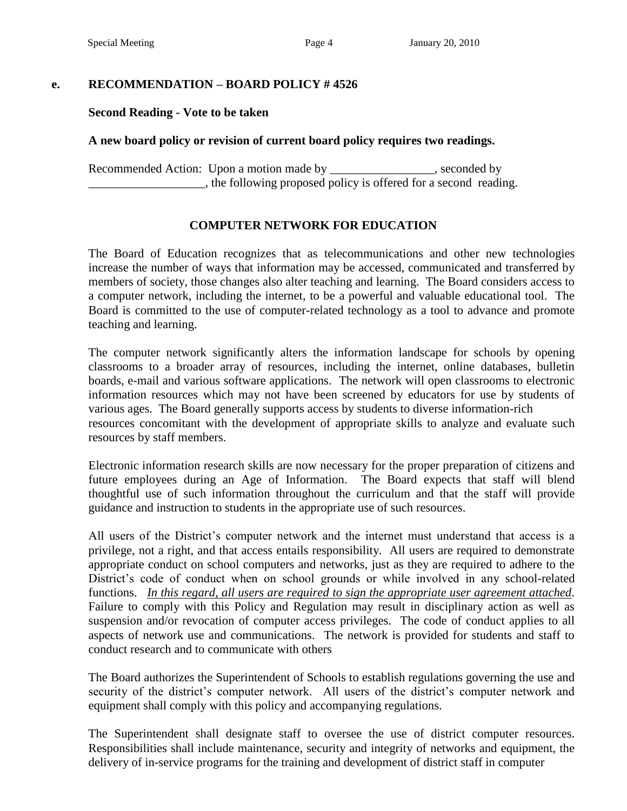### **e. RECOMMENDATION – BOARD POLICY # 4526**

#### **Second Reading - Vote to be taken**

#### **A new board policy or revision of current board policy requires two readings.**

Recommended Action: Upon a motion made by \_\_\_\_\_\_\_\_\_\_\_\_\_\_\_, seconded by \_\_\_\_\_\_\_\_\_\_\_\_\_\_\_\_\_\_\_, the following proposed policy is offered for a second reading.

#### **COMPUTER NETWORK FOR EDUCATION**

The Board of Education recognizes that as telecommunications and other new technologies increase the number of ways that information may be accessed, communicated and transferred by members of society, those changes also alter teaching and learning. The Board considers access to a computer network, including the internet, to be a powerful and valuable educational tool. The Board is committed to the use of computer-related technology as a tool to advance and promote teaching and learning.

The computer network significantly alters the information landscape for schools by opening classrooms to a broader array of resources, including the internet, online databases, bulletin boards, e-mail and various software applications. The network will open classrooms to electronic information resources which may not have been screened by educators for use by students of various ages. The Board generally supports access by students to diverse information-rich resources concomitant with the development of appropriate skills to analyze and evaluate such resources by staff members.

Electronic information research skills are now necessary for the proper preparation of citizens and future employees during an Age of Information. The Board expects that staff will blend thoughtful use of such information throughout the curriculum and that the staff will provide guidance and instruction to students in the appropriate use of such resources.

All users of the District's computer network and the internet must understand that access is a privilege, not a right, and that access entails responsibility. All users are required to demonstrate appropriate conduct on school computers and networks, just as they are required to adhere to the District's code of conduct when on school grounds or while involved in any school-related functions. *In this regard, all users are required to sign the appropriate user agreement attached.* Failure to comply with this Policy and Regulation may result in disciplinary action as well as suspension and/or revocation of computer access privileges. The code of conduct applies to all aspects of network use and communications. The network is provided for students and staff to conduct research and to communicate with others

The Board authorizes the Superintendent of Schools to establish regulations governing the use and security of the district's computer network. All users of the district's computer network and equipment shall comply with this policy and accompanying regulations.

The Superintendent shall designate staff to oversee the use of district computer resources. Responsibilities shall include maintenance, security and integrity of networks and equipment, the delivery of in-service programs for the training and development of district staff in computer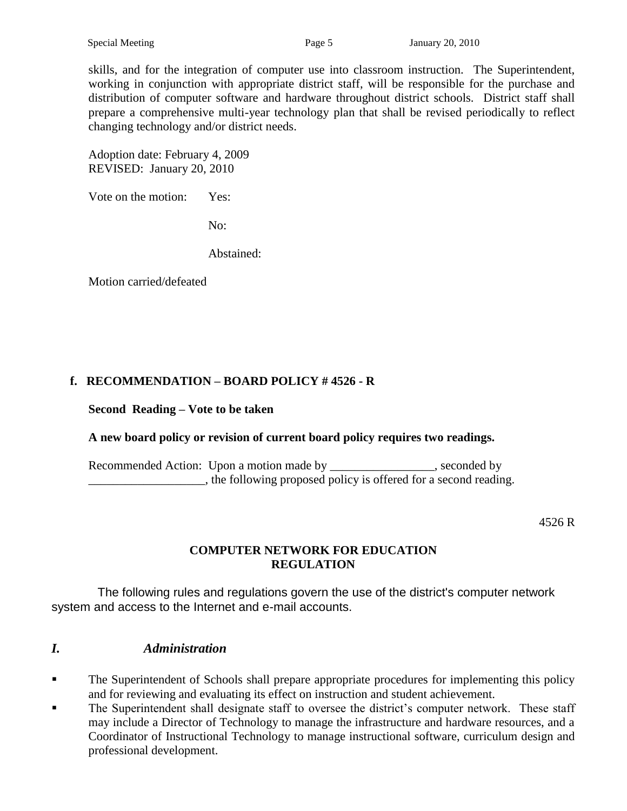skills, and for the integration of computer use into classroom instruction. The Superintendent, working in conjunction with appropriate district staff, will be responsible for the purchase and distribution of computer software and hardware throughout district schools. District staff shall prepare a comprehensive multi-year technology plan that shall be revised periodically to reflect changing technology and/or district needs.

Adoption date: February 4, 2009 REVISED: January 20, 2010

Vote on the motion: Yes:

No:

Abstained:

Motion carried/defeated

# **f. RECOMMENDATION – BOARD POLICY # 4526 - R**

#### **Second Reading – Vote to be taken**

# **A new board policy or revision of current board policy requires two readings.**

Recommended Action: Upon a motion made by \_\_\_\_\_\_\_\_\_\_\_\_\_\_\_, seconded by \_\_\_\_\_\_\_\_\_\_\_\_\_\_\_\_\_\_\_, the following proposed policy is offered for a second reading.

4526 R

#### **COMPUTER NETWORK FOR EDUCATION REGULATION**

The following rules and regulations govern the use of the district's computer network system and access to the Internet and e-mail accounts.

# *I. Administration*

- **The Superintendent of Schools shall prepare appropriate procedures for implementing this policy** and for reviewing and evaluating its effect on instruction and student achievement.
- The Superintendent shall designate staff to oversee the district's computer network. These staff may include a Director of Technology to manage the infrastructure and hardware resources, and a Coordinator of Instructional Technology to manage instructional software, curriculum design and professional development.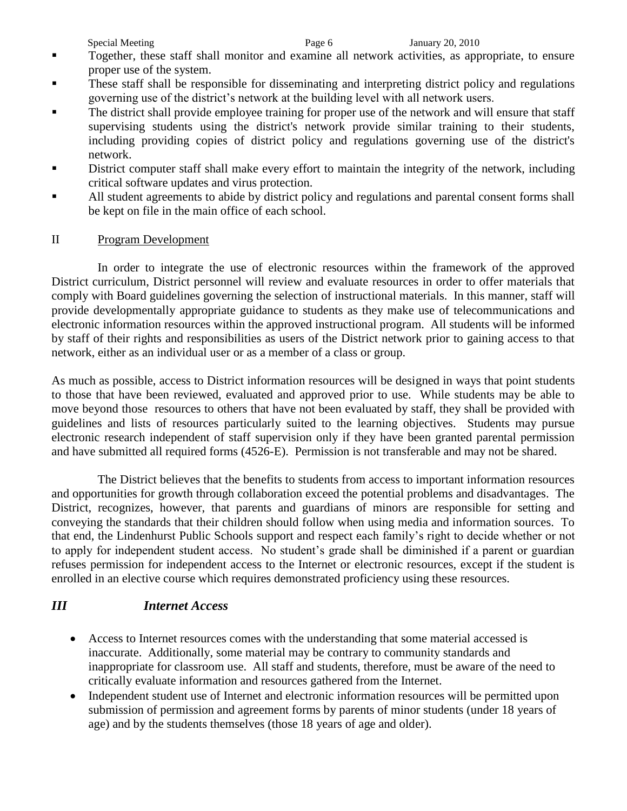- Together, these staff shall monitor and examine all network activities, as appropriate, to ensure proper use of the system.
- These staff shall be responsible for disseminating and interpreting district policy and regulations governing use of the district's network at the building level with all network users.
- The district shall provide employee training for proper use of the network and will ensure that staff supervising students using the district's network provide similar training to their students, including providing copies of district policy and regulations governing use of the district's network.
- District computer staff shall make every effort to maintain the integrity of the network, including critical software updates and virus protection.
- All student agreements to abide by district policy and regulations and parental consent forms shall be kept on file in the main office of each school.

# II Program Development

In order to integrate the use of electronic resources within the framework of the approved District curriculum, District personnel will review and evaluate resources in order to offer materials that comply with Board guidelines governing the selection of instructional materials. In this manner, staff will provide developmentally appropriate guidance to students as they make use of telecommunications and electronic information resources within the approved instructional program. All students will be informed by staff of their rights and responsibilities as users of the District network prior to gaining access to that network, either as an individual user or as a member of a class or group.

As much as possible, access to District information resources will be designed in ways that point students to those that have been reviewed, evaluated and approved prior to use. While students may be able to move beyond those resources to others that have not been evaluated by staff, they shall be provided with guidelines and lists of resources particularly suited to the learning objectives. Students may pursue electronic research independent of staff supervision only if they have been granted parental permission and have submitted all required forms (4526-E). Permission is not transferable and may not be shared.

The District believes that the benefits to students from access to important information resources and opportunities for growth through collaboration exceed the potential problems and disadvantages. The District, recognizes, however, that parents and guardians of minors are responsible for setting and conveying the standards that their children should follow when using media and information sources. To that end, the Lindenhurst Public Schools support and respect each family's right to decide whether or not to apply for independent student access. No student's grade shall be diminished if a parent or guardian refuses permission for independent access to the Internet or electronic resources, except if the student is enrolled in an elective course which requires demonstrated proficiency using these resources.

# *III Internet Access*

- Access to Internet resources comes with the understanding that some material accessed is inaccurate. Additionally, some material may be contrary to community standards and inappropriate for classroom use. All staff and students, therefore, must be aware of the need to critically evaluate information and resources gathered from the Internet.
- Independent student use of Internet and electronic information resources will be permitted upon submission of permission and agreement forms by parents of minor students (under 18 years of age) and by the students themselves (those 18 years of age and older).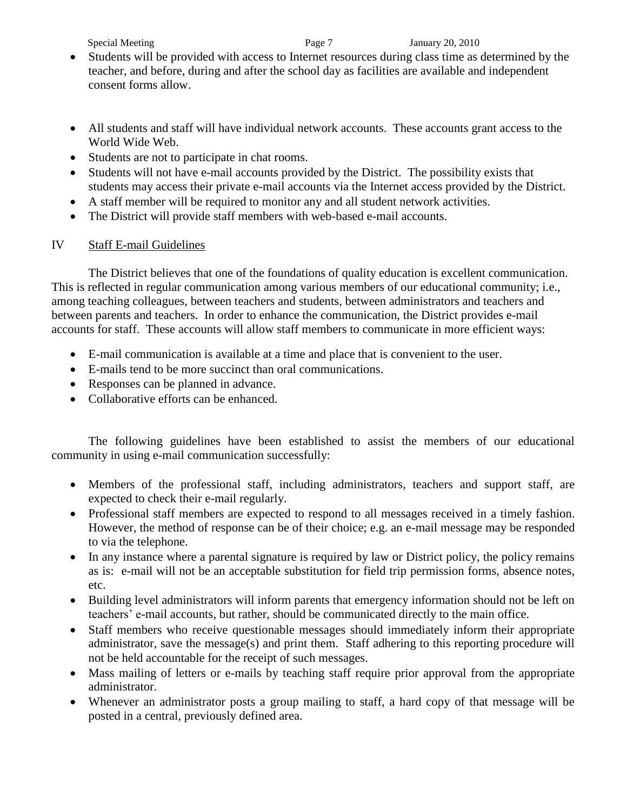#### Special Meeting Page 7 January 20, 2010

- Students will be provided with access to Internet resources during class time as determined by the teacher, and before, during and after the school day as facilities are available and independent consent forms allow.
- All students and staff will have individual network accounts. These accounts grant access to the World Wide Web.
- Students are not to participate in chat rooms.
- Students will not have e-mail accounts provided by the District. The possibility exists that students may access their private e-mail accounts via the Internet access provided by the District.
- A staff member will be required to monitor any and all student network activities.
- The District will provide staff members with web-based e-mail accounts.

# IV Staff E-mail Guidelines

The District believes that one of the foundations of quality education is excellent communication. This is reflected in regular communication among various members of our educational community; i.e., among teaching colleagues, between teachers and students, between administrators and teachers and between parents and teachers. In order to enhance the communication, the District provides e-mail accounts for staff. These accounts will allow staff members to communicate in more efficient ways:

- E-mail communication is available at a time and place that is convenient to the user.
- E-mails tend to be more succinct than oral communications.
- Responses can be planned in advance.
- Collaborative efforts can be enhanced.

The following guidelines have been established to assist the members of our educational community in using e-mail communication successfully:

- Members of the professional staff, including administrators, teachers and support staff, are expected to check their e-mail regularly.
- Professional staff members are expected to respond to all messages received in a timely fashion. However, the method of response can be of their choice; e.g. an e-mail message may be responded to via the telephone.
- In any instance where a parental signature is required by law or District policy, the policy remains as is: e-mail will not be an acceptable substitution for field trip permission forms, absence notes, etc.
- Building level administrators will inform parents that emergency information should not be left on teachers' e-mail accounts, but rather, should be communicated directly to the main office.
- Staff members who receive questionable messages should immediately inform their appropriate administrator, save the message(s) and print them. Staff adhering to this reporting procedure will not be held accountable for the receipt of such messages.
- Mass mailing of letters or e-mails by teaching staff require prior approval from the appropriate administrator.
- Whenever an administrator posts a group mailing to staff, a hard copy of that message will be posted in a central, previously defined area.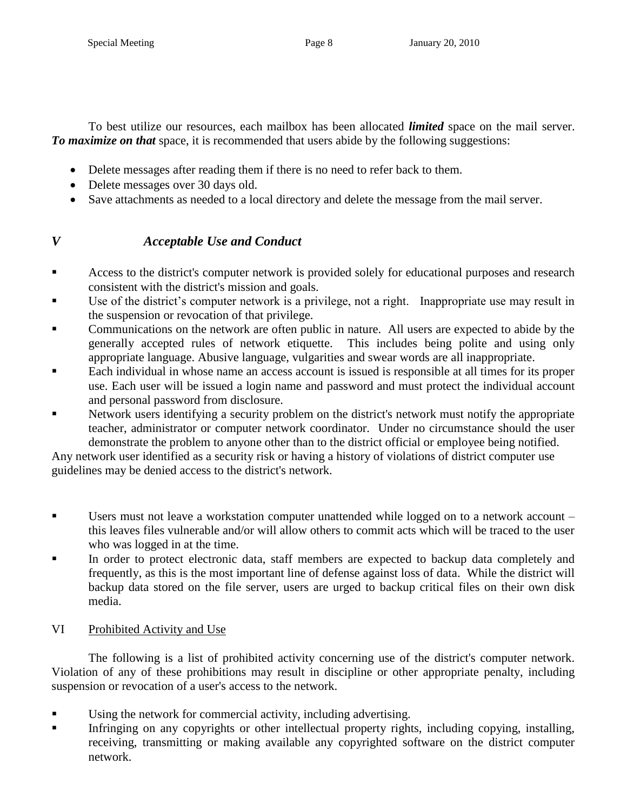To best utilize our resources, each mailbox has been allocated *limited* space on the mail server. *To maximize on that* space, it is recommended that users abide by the following suggestions:

- Delete messages after reading them if there is no need to refer back to them.
- Delete messages over 30 days old.
- Save attachments as needed to a local directory and delete the message from the mail server.

# *V Acceptable Use and Conduct*

- Access to the district's computer network is provided solely for educational purposes and research consistent with the district's mission and goals.
- Use of the district's computer network is a privilege, not a right. Inappropriate use may result in the suspension or revocation of that privilege.
- Communications on the network are often public in nature. All users are expected to abide by the generally accepted rules of network etiquette. This includes being polite and using only appropriate language. Abusive language, vulgarities and swear words are all inappropriate.
- Each individual in whose name an access account is issued is responsible at all times for its proper use. Each user will be issued a login name and password and must protect the individual account and personal password from disclosure.
- Network users identifying a security problem on the district's network must notify the appropriate teacher, administrator or computer network coordinator. Under no circumstance should the user demonstrate the problem to anyone other than to the district official or employee being notified.

Any network user identified as a security risk or having a history of violations of district computer use guidelines may be denied access to the district's network.

- Users must not leave a workstation computer unattended while logged on to a network account this leaves files vulnerable and/or will allow others to commit acts which will be traced to the user who was logged in at the time.
- In order to protect electronic data, staff members are expected to backup data completely and frequently, as this is the most important line of defense against loss of data. While the district will backup data stored on the file server, users are urged to backup critical files on their own disk media.

# VI Prohibited Activity and Use

The following is a list of prohibited activity concerning use of the district's computer network. Violation of any of these prohibitions may result in discipline or other appropriate penalty, including suspension or revocation of a user's access to the network.

- Using the network for commercial activity, including advertising.
- Infringing on any copyrights or other intellectual property rights, including copying, installing, receiving, transmitting or making available any copyrighted software on the district computer network.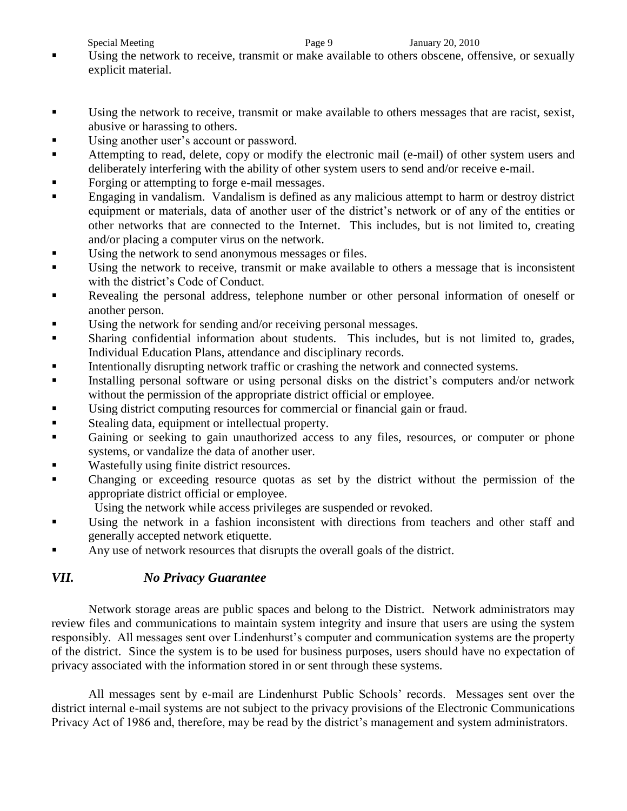- Using the network to receive, transmit or make available to others obscene, offensive, or sexually explicit material.
- Using the network to receive, transmit or make available to others messages that are racist, sexist, abusive or harassing to others.
- Using another user's account or password.
- Attempting to read, delete, copy or modify the electronic mail (e-mail) of other system users and deliberately interfering with the ability of other system users to send and/or receive e-mail.
- Forging or attempting to forge e-mail messages.
- **Engaging in vandalism.** Vandalism is defined as any malicious attempt to harm or destroy district equipment or materials, data of another user of the district's network or of any of the entities or other networks that are connected to the Internet. This includes, but is not limited to, creating and/or placing a computer virus on the network.
- Using the network to send anonymous messages or files.
- Using the network to receive, transmit or make available to others a message that is inconsistent with the district's Code of Conduct.
- Revealing the personal address, telephone number or other personal information of oneself or another person.
- Using the network for sending and/or receiving personal messages.
- Sharing confidential information about students. This includes, but is not limited to, grades, Individual Education Plans, attendance and disciplinary records.
- Intentionally disrupting network traffic or crashing the network and connected systems.
- Installing personal software or using personal disks on the district's computers and/or network without the permission of the appropriate district official or employee.
- Using district computing resources for commercial or financial gain or fraud.
- Stealing data, equipment or intellectual property.
- Gaining or seeking to gain unauthorized access to any files, resources, or computer or phone systems, or vandalize the data of another user.
- Wastefully using finite district resources.
- Changing or exceeding resource quotas as set by the district without the permission of the appropriate district official or employee.
	- Using the network while access privileges are suspended or revoked.
- Using the network in a fashion inconsistent with directions from teachers and other staff and generally accepted network etiquette.
- Any use of network resources that disrupts the overall goals of the district.

# *VII. No Privacy Guarantee*

Network storage areas are public spaces and belong to the District. Network administrators may review files and communications to maintain system integrity and insure that users are using the system responsibly. All messages sent over Lindenhurst's computer and communication systems are the property of the district. Since the system is to be used for business purposes, users should have no expectation of privacy associated with the information stored in or sent through these systems.

All messages sent by e-mail are Lindenhurst Public Schools' records. Messages sent over the district internal e-mail systems are not subject to the privacy provisions of the Electronic Communications Privacy Act of 1986 and, therefore, may be read by the district's management and system administrators.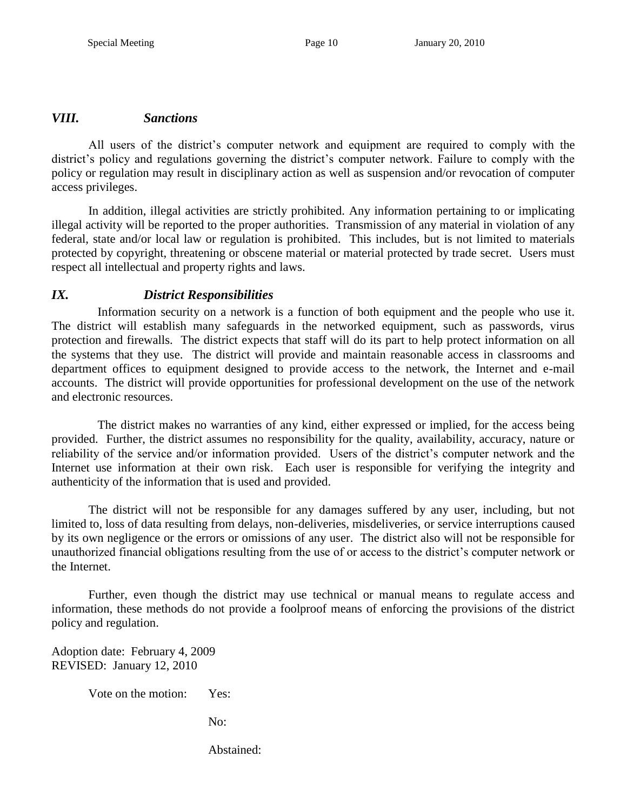#### *VIII. Sanctions*

All users of the district's computer network and equipment are required to comply with the district's policy and regulations governing the district's computer network. Failure to comply with the policy or regulation may result in disciplinary action as well as suspension and/or revocation of computer access privileges.

In addition, illegal activities are strictly prohibited. Any information pertaining to or implicating illegal activity will be reported to the proper authorities. Transmission of any material in violation of any federal, state and/or local law or regulation is prohibited. This includes, but is not limited to materials protected by copyright, threatening or obscene material or material protected by trade secret. Users must respect all intellectual and property rights and laws.

# *IX. District Responsibilities*

Information security on a network is a function of both equipment and the people who use it. The district will establish many safeguards in the networked equipment, such as passwords, virus protection and firewalls. The district expects that staff will do its part to help protect information on all the systems that they use. The district will provide and maintain reasonable access in classrooms and department offices to equipment designed to provide access to the network, the Internet and e-mail accounts. The district will provide opportunities for professional development on the use of the network and electronic resources.

The district makes no warranties of any kind, either expressed or implied, for the access being provided. Further, the district assumes no responsibility for the quality, availability, accuracy, nature or reliability of the service and/or information provided. Users of the district's computer network and the Internet use information at their own risk. Each user is responsible for verifying the integrity and authenticity of the information that is used and provided.

The district will not be responsible for any damages suffered by any user, including, but not limited to, loss of data resulting from delays, non-deliveries, misdeliveries, or service interruptions caused by its own negligence or the errors or omissions of any user. The district also will not be responsible for unauthorized financial obligations resulting from the use of or access to the district's computer network or the Internet.

Further, even though the district may use technical or manual means to regulate access and information, these methods do not provide a foolproof means of enforcing the provisions of the district policy and regulation.

Adoption date: February 4, 2009 REVISED: January 12, 2010

Vote on the motion: Yes:

No:

Abstained: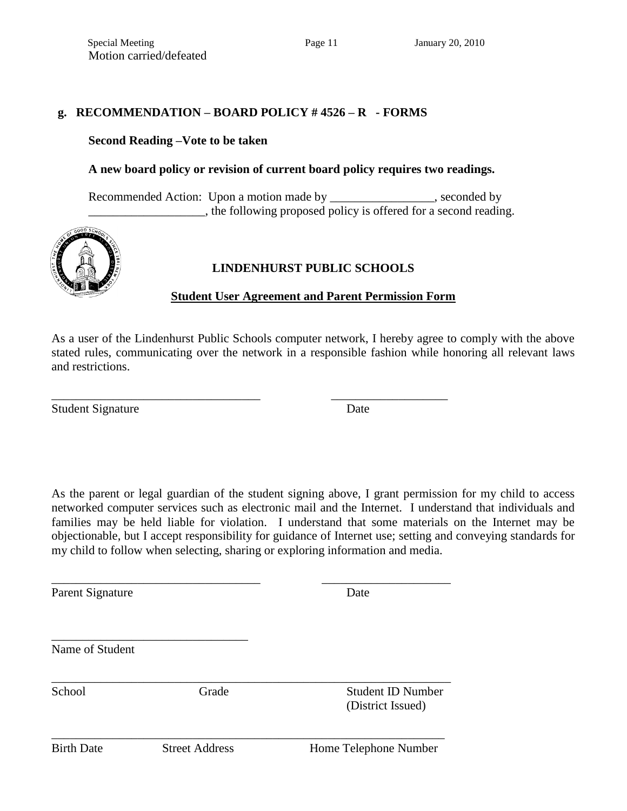#### **g. RECOMMENDATION – BOARD POLICY # 4526 – R - FORMS**

\_\_\_\_\_\_\_\_\_\_\_\_\_\_\_\_\_\_\_\_\_\_\_\_\_\_\_\_\_\_\_\_\_\_ \_\_\_\_\_\_\_\_\_\_\_\_\_\_\_\_\_\_\_

\_\_\_\_\_\_\_\_\_\_\_\_\_\_\_\_\_\_\_\_\_\_\_\_\_\_\_\_\_\_\_\_\_\_ \_\_\_\_\_\_\_\_\_\_\_\_\_\_\_\_\_\_\_\_\_

\_\_\_\_\_\_\_\_\_\_\_\_\_\_\_\_\_\_\_\_\_\_\_\_\_\_\_\_\_\_\_\_\_\_\_\_\_\_\_\_\_\_\_\_\_\_\_\_\_\_\_\_\_\_\_\_\_\_\_\_\_\_\_\_\_

\_\_\_\_\_\_\_\_\_\_\_\_\_\_\_\_\_\_\_\_\_\_\_\_\_\_\_\_\_\_\_\_\_\_\_\_\_\_\_\_\_\_\_\_\_\_\_\_\_\_\_\_\_\_\_\_\_\_\_\_\_\_\_\_

#### **Second Reading –Vote to be taken**

#### **A new board policy or revision of current board policy requires two readings.**

Recommended Action: Upon a motion made by \_\_\_\_\_\_\_\_\_\_\_\_\_\_\_\_, seconded by **Example 2**, the following proposed policy is offered for a second reading.



#### **LINDENHURST PUBLIC SCHOOLS**

#### **Student User Agreement and Parent Permission Form**

As a user of the Lindenhurst Public Schools computer network, I hereby agree to comply with the above stated rules, communicating over the network in a responsible fashion while honoring all relevant laws and restrictions.

Student Signature Date

As the parent or legal guardian of the student signing above, I grant permission for my child to access networked computer services such as electronic mail and the Internet. I understand that individuals and families may be held liable for violation. I understand that some materials on the Internet may be objectionable, but I accept responsibility for guidance of Internet use; setting and conveying standards for my child to follow when selecting, sharing or exploring information and media.

Parent Signature Date

Name of Student

\_\_\_\_\_\_\_\_\_\_\_\_\_\_\_\_\_\_\_\_\_\_\_\_\_\_\_\_\_\_\_\_

School Grade Student ID Number (District Issued)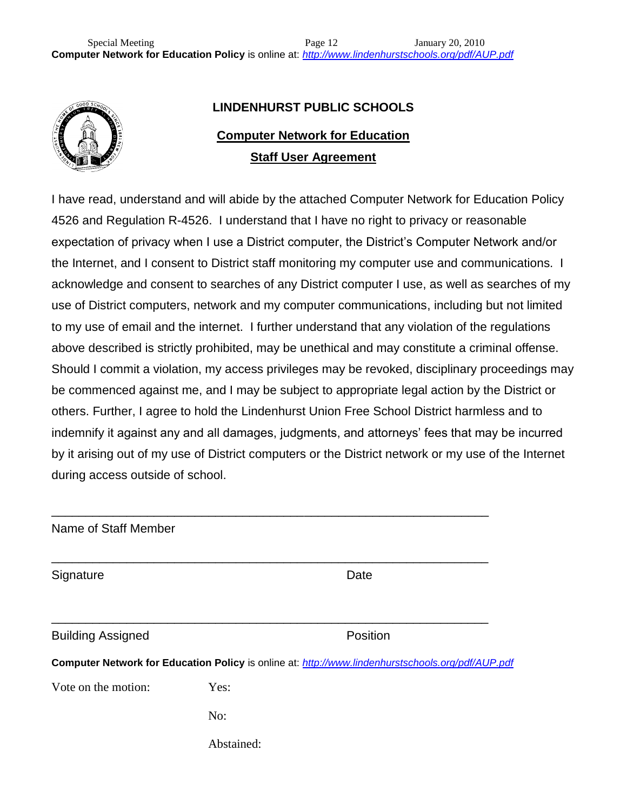

# **LINDENHURST PUBLIC SCHOOLS**

# **Computer Network for Education Staff User Agreement**

I have read, understand and will abide by the attached Computer Network for Education Policy 4526 and Regulation R-4526. I understand that I have no right to privacy or reasonable expectation of privacy when I use a District computer, the District's Computer Network and/or the Internet, and I consent to District staff monitoring my computer use and communications. I acknowledge and consent to searches of any District computer I use, as well as searches of my use of District computers, network and my computer communications, including but not limited to my use of email and the internet. I further understand that any violation of the regulations above described is strictly prohibited, may be unethical and may constitute a criminal offense. Should I commit a violation, my access privileges may be revoked, disciplinary proceedings may be commenced against me, and I may be subject to appropriate legal action by the District or others. Further, I agree to hold the Lindenhurst Union Free School District harmless and to indemnify it against any and all damages, judgments, and attorneys' fees that may be incurred by it arising out of my use of District computers or the District network or my use of the Internet during access outside of school.

| Name of Staff Member     |                                                                                                   |
|--------------------------|---------------------------------------------------------------------------------------------------|
| Signature                | Date                                                                                              |
| <b>Building Assigned</b> | Position                                                                                          |
|                          | Computer Network for Education Policy is online at: http://www.lindenhurstschools.org/pdf/AUP.pdf |
| Vote on the motion:      | Yes:                                                                                              |
|                          | No:                                                                                               |
|                          | Abstained:                                                                                        |
|                          |                                                                                                   |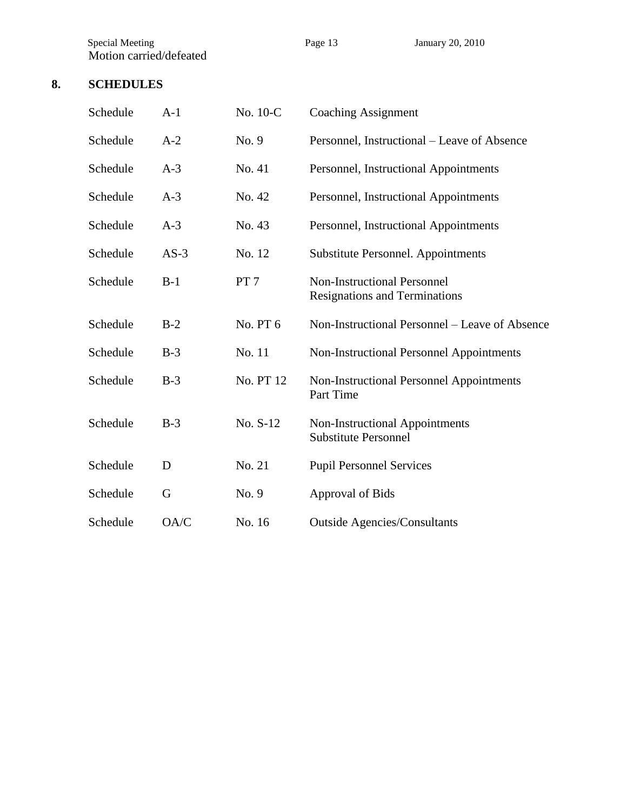Special Meeting **Page 13** Page 13 January 20, 2010 Motion carried/defeated

# **8. SCHEDULES**

| Schedule | $A-1$  | No. 10-C        | <b>Coaching Assignment</b>                                                 |  |
|----------|--------|-----------------|----------------------------------------------------------------------------|--|
| Schedule | $A-2$  | No. 9           | Personnel, Instructional – Leave of Absence                                |  |
| Schedule | $A-3$  | No. 41          | Personnel, Instructional Appointments                                      |  |
| Schedule | $A-3$  | No. 42          | Personnel, Instructional Appointments                                      |  |
| Schedule | $A-3$  | No. 43          | Personnel, Instructional Appointments                                      |  |
| Schedule | $AS-3$ | No. 12          | Substitute Personnel. Appointments                                         |  |
| Schedule | $B-1$  | PT <sub>7</sub> | <b>Non-Instructional Personnel</b><br><b>Resignations and Terminations</b> |  |
| Schedule | $B-2$  | No. PT 6        | Non-Instructional Personnel – Leave of Absence                             |  |
| Schedule | $B-3$  | No. 11          | Non-Instructional Personnel Appointments                                   |  |
| Schedule | $B-3$  | No. PT 12       | Non-Instructional Personnel Appointments<br>Part Time                      |  |
| Schedule | $B-3$  | No. S-12        | Non-Instructional Appointments<br><b>Substitute Personnel</b>              |  |
| Schedule | D      | No. 21          | <b>Pupil Personnel Services</b>                                            |  |
| Schedule | G      | No. 9           | <b>Approval of Bids</b>                                                    |  |
| Schedule | OA/C   | No. 16          | <b>Outside Agencies/Consultants</b>                                        |  |